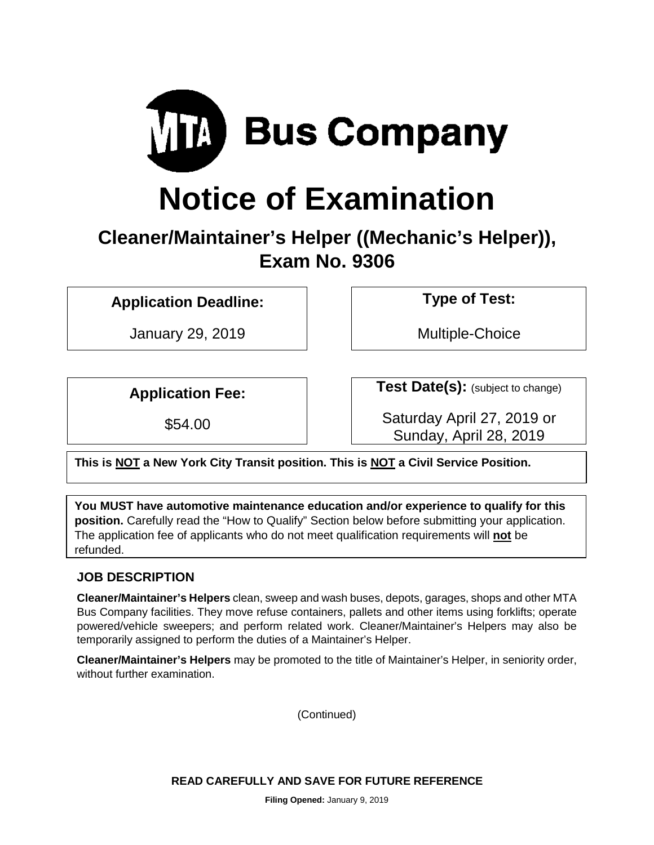

# **Notice of Examination**

# **Cleaner/Maintainer's Helper ((Mechanic's Helper)), Exam No. 9306**

**Application Deadline: Type of Test:** 

January 29, 2019 | Nultiple-Choice

**Application Fee:**  $\qquad$  **Test Date(s):** (subject to change)

\$54.00 Saturday April 27, 2019 or Sunday, April 28, 2019

**This is NOT a New York City Transit position. This is NOT a Civil Service Position.** 

**You MUST have automotive maintenance education and/or experience to qualify for this position.** Carefully read the "How to Qualify" Section below before submitting your application. The application fee of applicants who do not meet qualification requirements will **not** be refunded.

# **JOB DESCRIPTION**

**Cleaner/Maintainer's Helpers** clean, sweep and wash buses, depots, garages, shops and other MTA Bus Company facilities. They move refuse containers, pallets and other items using forklifts; operate powered/vehicle sweepers; and perform related work. Cleaner/Maintainer's Helpers may also be temporarily assigned to perform the duties of a Maintainer's Helper.

**Cleaner/Maintainer's Helpers** may be promoted to the title of Maintainer's Helper, in seniority order, without further examination.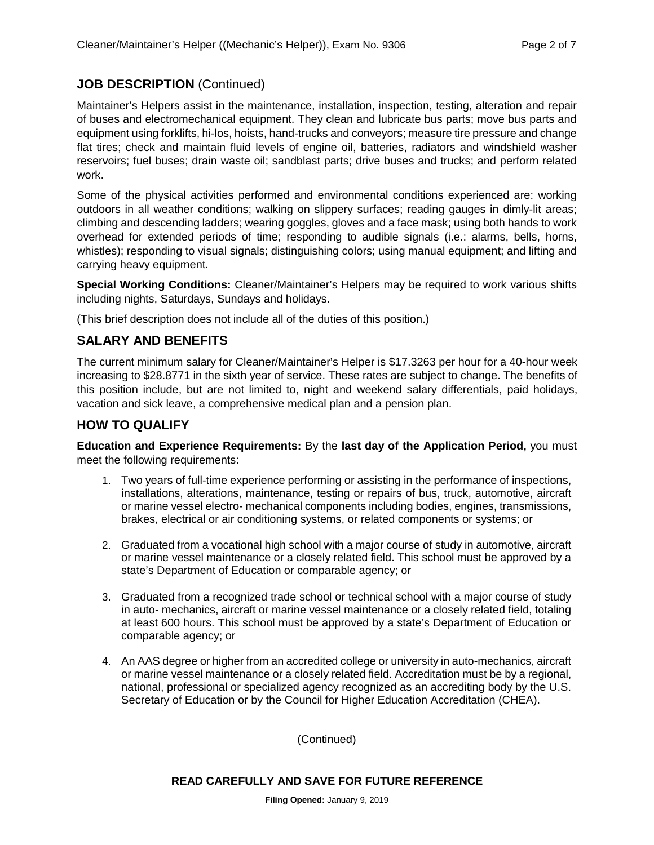#### **JOB DESCRIPTION** (Continued)

Maintainer's Helpers assist in the maintenance, installation, inspection, testing, alteration and repair of buses and electromechanical equipment. They clean and lubricate bus parts; move bus parts and equipment using forklifts, hi-los, hoists, hand-trucks and conveyors; measure tire pressure and change flat tires; check and maintain fluid levels of engine oil, batteries, radiators and windshield washer reservoirs; fuel buses; drain waste oil; sandblast parts; drive buses and trucks; and perform related work.

Some of the physical activities performed and environmental conditions experienced are: working outdoors in all weather conditions; walking on slippery surfaces; reading gauges in dimly-lit areas; climbing and descending ladders; wearing goggles, gloves and a face mask; using both hands to work overhead for extended periods of time; responding to audible signals (i.e.: alarms, bells, horns, whistles); responding to visual signals; distinguishing colors; using manual equipment; and lifting and carrying heavy equipment.

**Special Working Conditions:** Cleaner/Maintainer's Helpers may be required to work various shifts including nights, Saturdays, Sundays and holidays.

(This brief description does not include all of the duties of this position.)

# **SALARY AND BENEFITS**

The current minimum salary for Cleaner/Maintainer's Helper is \$17.3263 per hour for a 40-hour week increasing to \$28.8771 in the sixth year of service. These rates are subject to change. The benefits of this position include, but are not limited to, night and weekend salary differentials, paid holidays, vacation and sick leave, a comprehensive medical plan and a pension plan.

#### **HOW TO QUALIFY**

**Education and Experience Requirements:** By the **last day of the Application Period,** you must meet the following requirements:

- 1. Two years of full-time experience performing or assisting in the performance of inspections, installations, alterations, maintenance, testing or repairs of bus, truck, automotive, aircraft or marine vessel electro- mechanical components including bodies, engines, transmissions, brakes, electrical or air conditioning systems, or related components or systems; or
- 2. Graduated from a vocational high school with a major course of study in automotive, aircraft or marine vessel maintenance or a closely related field. This school must be approved by a state's Department of Education or comparable agency; or
- 3. Graduated from a recognized trade school or technical school with a major course of study in auto- mechanics, aircraft or marine vessel maintenance or a closely related field, totaling at least 600 hours. This school must be approved by a state's Department of Education or comparable agency; or
- 4. An AAS degree or higher from an accredited college or university in auto-mechanics, aircraft or marine vessel maintenance or a closely related field. Accreditation must be by a regional, national, professional or specialized agency recognized as an accrediting body by the U.S. Secretary of Education or by the Council for Higher Education Accreditation (CHEA).

(Continued)

#### **READ CAREFULLY AND SAVE FOR FUTURE REFERENCE**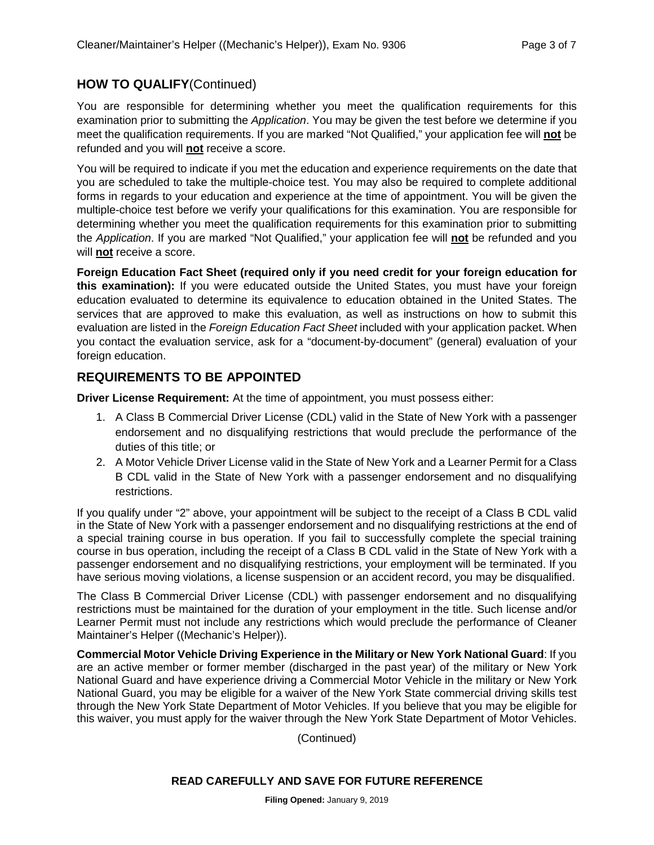#### **HOW TO QUALIFY**(Continued)

You are responsible for determining whether you meet the qualification requirements for this examination prior to submitting the *Application*. You may be given the test before we determine if you meet the qualification requirements. If you are marked "Not Qualified," your application fee will **not** be refunded and you will **not** receive a score.

You will be required to indicate if you met the education and experience requirements on the date that you are scheduled to take the multiple-choice test. You may also be required to complete additional forms in regards to your education and experience at the time of appointment. You will be given the multiple-choice test before we verify your qualifications for this examination. You are responsible for determining whether you meet the qualification requirements for this examination prior to submitting the *Application*. If you are marked "Not Qualified," your application fee will **not** be refunded and you will **not** receive a score.

**Foreign Education Fact Sheet (required only if you need credit for your foreign education for this examination):** If you were educated outside the United States, you must have your foreign education evaluated to determine its equivalence to education obtained in the United States. The services that are approved to make this evaluation, as well as instructions on how to submit this evaluation are listed in the *Foreign Education Fact Sheet* included with your application packet. When you contact the evaluation service, ask for a "document-by-document" (general) evaluation of your foreign education.

#### **REQUIREMENTS TO BE APPOINTED**

**Driver License Requirement:** At the time of appointment, you must possess either:

- 1. A Class B Commercial Driver License (CDL) valid in the State of New York with a passenger endorsement and no disqualifying restrictions that would preclude the performance of the duties of this title; or
- 2. A Motor Vehicle Driver License valid in the State of New York and a Learner Permit for a Class B CDL valid in the State of New York with a passenger endorsement and no disqualifying restrictions.

If you qualify under "2" above, your appointment will be subject to the receipt of a Class B CDL valid in the State of New York with a passenger endorsement and no disqualifying restrictions at the end of a special training course in bus operation. If you fail to successfully complete the special training course in bus operation, including the receipt of a Class B CDL valid in the State of New York with a passenger endorsement and no disqualifying restrictions, your employment will be terminated. If you have serious moving violations, a license suspension or an accident record, you may be disqualified.

The Class B Commercial Driver License (CDL) with passenger endorsement and no disqualifying restrictions must be maintained for the duration of your employment in the title. Such license and/or Learner Permit must not include any restrictions which would preclude the performance of Cleaner Maintainer's Helper ((Mechanic's Helper)).

**Commercial Motor Vehicle Driving Experience in the Military or New York National Guard**: If you are an active member or former member (discharged in the past year) of the military or New York National Guard and have experience driving a Commercial Motor Vehicle in the military or New York National Guard, you may be eligible for a waiver of the New York State commercial driving skills test through the New York State Department of Motor Vehicles. If you believe that you may be eligible for this waiver, you must apply for the waiver through the New York State Department of Motor Vehicles.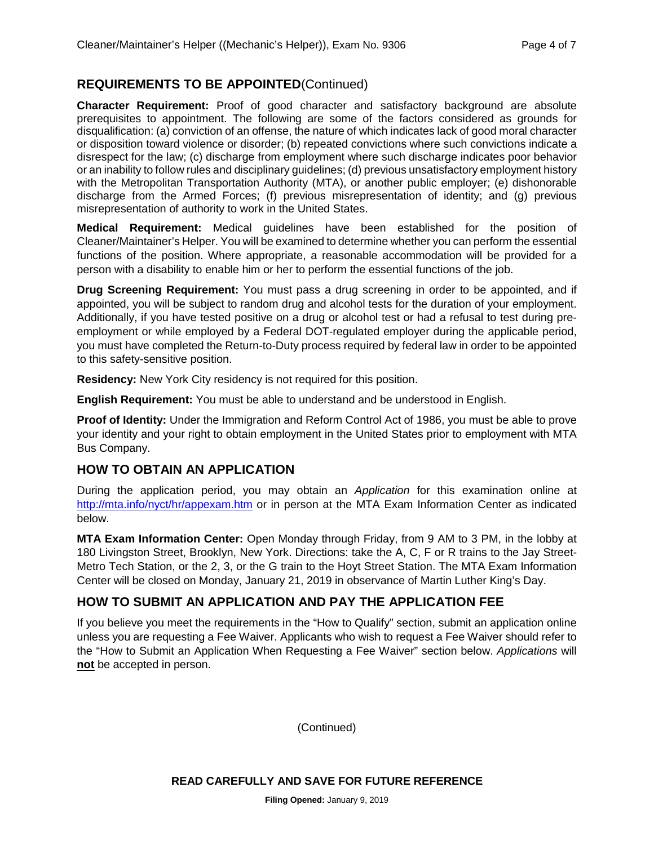#### **REQUIREMENTS TO BE APPOINTED**(Continued)

**Character Requirement:** Proof of good character and satisfactory background are absolute prerequisites to appointment. The following are some of the factors considered as grounds for disqualification: (a) conviction of an offense, the nature of which indicates lack of good moral character or disposition toward violence or disorder; (b) repeated convictions where such convictions indicate a disrespect for the law; (c) discharge from employment where such discharge indicates poor behavior or an inability to follow rules and disciplinary guidelines; (d) previous unsatisfactory employment history with the Metropolitan Transportation Authority (MTA), or another public employer; (e) dishonorable discharge from the Armed Forces; (f) previous misrepresentation of identity; and (g) previous misrepresentation of authority to work in the United States.

**Medical Requirement:** Medical guidelines have been established for the position of Cleaner/Maintainer's Helper. You will be examined to determine whether you can perform the essential functions of the position. Where appropriate, a reasonable accommodation will be provided for a person with a disability to enable him or her to perform the essential functions of the job.

**Drug Screening Requirement:** You must pass a drug screening in order to be appointed, and if appointed, you will be subject to random drug and alcohol tests for the duration of your employment. Additionally, if you have tested positive on a drug or alcohol test or had a refusal to test during preemployment or while employed by a Federal DOT-regulated employer during the applicable period, you must have completed the Return-to-Duty process required by federal law in order to be appointed to this safety-sensitive position.

**Residency:** New York City residency is not required for this position.

**English Requirement:** You must be able to understand and be understood in English.

**Proof of Identity:** Under the Immigration and Reform Control Act of 1986, you must be able to prove your identity and your right to obtain employment in the United States prior to employment with MTA Bus Company.

#### **HOW TO OBTAIN AN APPLICATION**

During the application period, you may obtain an *Application* for this examination online at <http://mta.info/nyct/hr/appexam.htm> or in person at the MTA Exam Information Center as indicated below.

**MTA Exam Information Center:** Open Monday through Friday, from 9 AM to 3 PM, in the lobby at 180 Livingston Street, Brooklyn, New York. Directions: take the A, C, F or R trains to the Jay Street-Metro Tech Station, or the 2, 3, or the G train to the Hoyt Street Station. The MTA Exam Information Center will be closed on Monday, January 21, 2019 in observance of Martin Luther King's Day.

# **HOW TO SUBMIT AN APPLICATION AND PAY THE APPLICATION FEE**

If you believe you meet the requirements in the "How to Qualify" section, submit an application online unless you are requesting a Fee Waiver. Applicants who wish to request a Fee Waiver should refer to the "How to Submit an Application When Requesting a Fee Waiver" section below. *Applications* will **not** be accepted in person.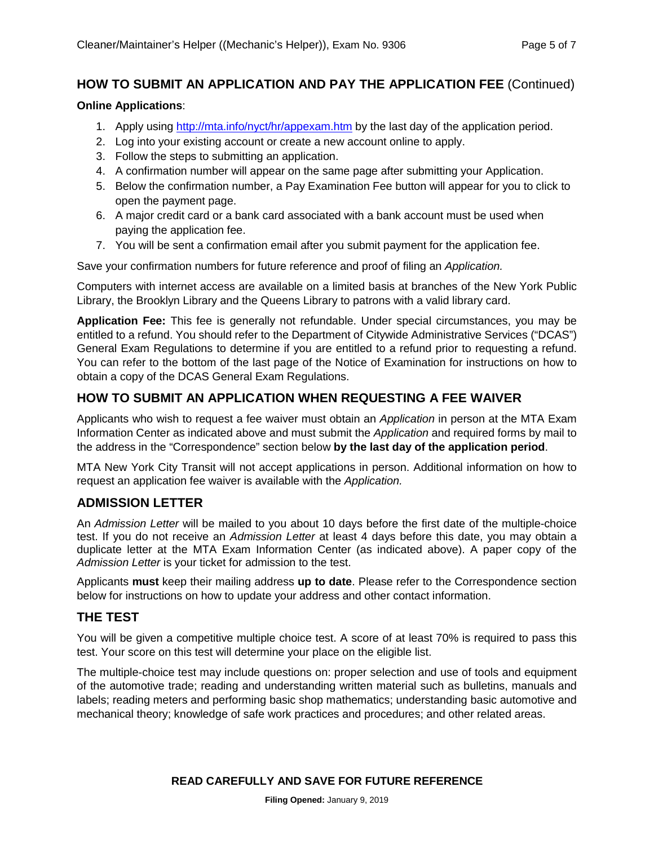#### **HOW TO SUBMIT AN APPLICATION AND PAY THE APPLICATION FEE** (Continued)

#### **Online Applications**:

- 1. Apply using<http://mta.info/nyct/hr/appexam.htm> by the last day of the application period.
- 2. Log into your existing account or create a new account online to apply.
- 3. Follow the steps to submitting an application.
- 4. A confirmation number will appear on the same page after submitting your Application.
- 5. Below the confirmation number, a Pay Examination Fee button will appear for you to click to open the payment page.
- 6. A major credit card or a bank card associated with a bank account must be used when paying the application fee.
- 7. You will be sent a confirmation email after you submit payment for the application fee.

Save your confirmation numbers for future reference and proof of filing an *Application.*

Computers with internet access are available on a limited basis at branches of the New York Public Library, the Brooklyn Library and the Queens Library to patrons with a valid library card.

**Application Fee:** This fee is generally not refundable. Under special circumstances, you may be entitled to a refund. You should refer to the Department of Citywide Administrative Services ("DCAS") General Exam Regulations to determine if you are entitled to a refund prior to requesting a refund. You can refer to the bottom of the last page of the Notice of Examination for instructions on how to obtain a copy of the DCAS General Exam Regulations.

#### **HOW TO SUBMIT AN APPLICATION WHEN REQUESTING A FEE WAIVER**

Applicants who wish to request a fee waiver must obtain an *Application* in person at the MTA Exam Information Center as indicated above and must submit the *Application* and required forms by mail to the address in the "Correspondence" section below **by the last day of the application period**.

MTA New York City Transit will not accept applications in person. Additional information on how to request an application fee waiver is available with the *Application.*

#### **ADMISSION LETTER**

An *Admission Letter* will be mailed to you about 10 days before the first date of the multiple-choice test. If you do not receive an *Admission Letter* at least 4 days before this date, you may obtain a duplicate letter at the MTA Exam Information Center (as indicated above). A paper copy of the *Admission Letter* is your ticket for admission to the test.

Applicants **must** keep their mailing address **up to date**. Please refer to the Correspondence section below for instructions on how to update your address and other contact information.

#### **THE TEST**

You will be given a competitive multiple choice test. A score of at least 70% is required to pass this test. Your score on this test will determine your place on the eligible list.

The multiple-choice test may include questions on: proper selection and use of tools and equipment of the automotive trade; reading and understanding written material such as bulletins, manuals and labels; reading meters and performing basic shop mathematics; understanding basic automotive and mechanical theory; knowledge of safe work practices and procedures; and other related areas.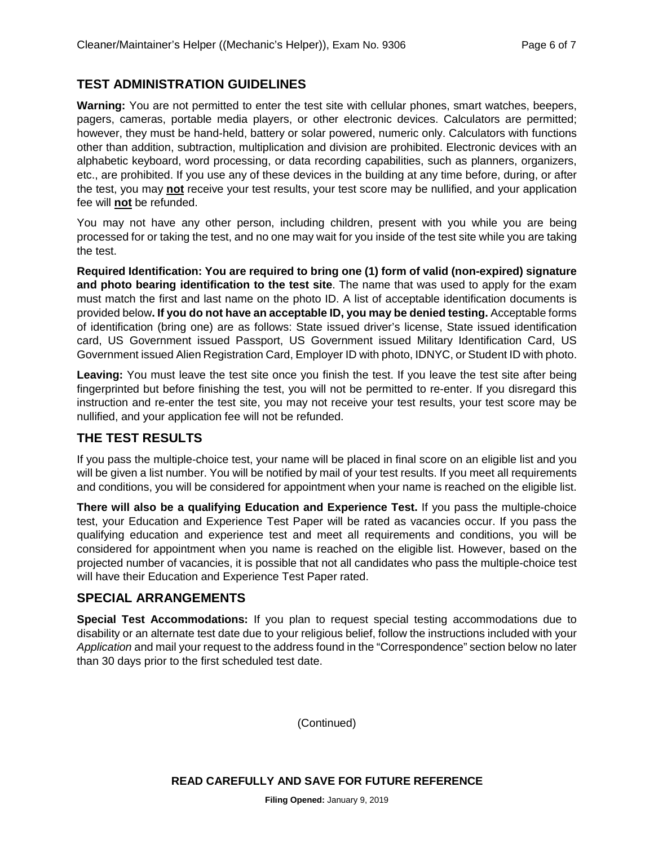#### **TEST ADMINISTRATION GUIDELINES**

**Warning:** You are not permitted to enter the test site with cellular phones, smart watches, beepers, pagers, cameras, portable media players, or other electronic devices. Calculators are permitted; however, they must be hand-held, battery or solar powered, numeric only. Calculators with functions other than addition, subtraction, multiplication and division are prohibited. Electronic devices with an alphabetic keyboard, word processing, or data recording capabilities, such as planners, organizers, etc., are prohibited. If you use any of these devices in the building at any time before, during, or after the test, you may **not** receive your test results, your test score may be nullified, and your application fee will **not** be refunded.

You may not have any other person, including children, present with you while you are being processed for or taking the test, and no one may wait for you inside of the test site while you are taking the test.

**Required Identification: You are required to bring one (1) form of valid (non-expired) signature and photo bearing identification to the test site**. The name that was used to apply for the exam must match the first and last name on the photo ID. A list of acceptable identification documents is provided below**. If you do not have an acceptable ID, you may be denied testing.** Acceptable forms of identification (bring one) are as follows: State issued driver's license, State issued identification card, US Government issued Passport, US Government issued Military Identification Card, US Government issued Alien Registration Card, Employer ID with photo, IDNYC, or Student ID with photo.

Leaving: You must leave the test site once you finish the test. If you leave the test site after being fingerprinted but before finishing the test, you will not be permitted to re-enter. If you disregard this instruction and re-enter the test site, you may not receive your test results, your test score may be nullified, and your application fee will not be refunded.

#### **THE TEST RESULTS**

If you pass the multiple-choice test, your name will be placed in final score on an eligible list and you will be given a list number. You will be notified by mail of your test results. If you meet all requirements and conditions, you will be considered for appointment when your name is reached on the eligible list.

**There will also be a qualifying Education and Experience Test.** If you pass the multiple-choice test, your Education and Experience Test Paper will be rated as vacancies occur. If you pass the qualifying education and experience test and meet all requirements and conditions, you will be considered for appointment when you name is reached on the eligible list. However, based on the projected number of vacancies, it is possible that not all candidates who pass the multiple-choice test will have their Education and Experience Test Paper rated.

# **SPECIAL ARRANGEMENTS**

**Special Test Accommodations:** If you plan to request special testing accommodations due to disability or an alternate test date due to your religious belief, follow the instructions included with your *Application* and mail your request to the address found in the "Correspondence" section below no later than 30 days prior to the first scheduled test date.